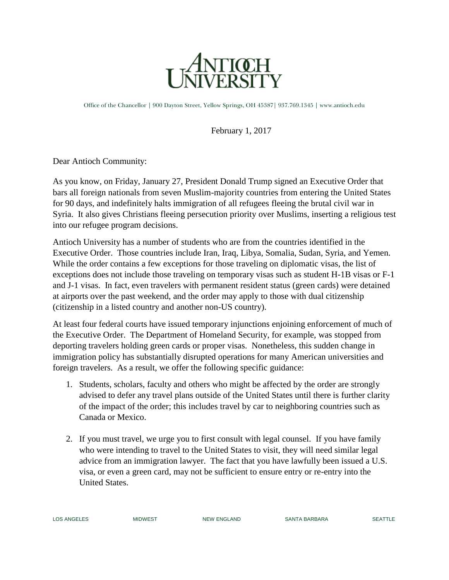

Office of the Chancellor | 900 Dayton Street, Yellow Springs, OH 45387| 937.769.1345 | www.antioch.edu

February 1, 2017

Dear Antioch Community:

As you know, on Friday, January 27, [President Donald Trump signed an Executive Order](https://www.nytimes.com/2017/01/27/us/politics/trump-syrian-refugees.html?_r=0) that bars all foreign nationals from seven Muslim-majority countries from entering the United States for 90 days, and indefinitely halts immigration of all refugees fleeing the brutal civil war in Syria. It also gives [Christians fleeing persecution priority](http://www1.cbn.com/thebrodyfile/archive/2017/01/27/brody-file-exclusive-president-trump-says-persecuted-christians-will-be-given-priority-as-refugees) over Muslims, inserting a religious test into our refugee program decisions.

Antioch University has a number of students who are from the countries identified in the Executive Order. Those countries include Iran, Iraq, Libya, Somalia, Sudan, Syria, and Yemen. While the order contains a few exceptions for those traveling on diplomatic visas, the list of exceptions does not include those traveling on temporary visas such as student H-1B visas or F-1 and J-1 visas. In fact, even travelers with permanent resident status (green cards) were detained at airports over the past weekend, and the order may apply to those with dual citizenship (citizenship in a listed country and another non-US country).

At least four federal courts have issued temporary injunctions enjoining enforcement of much of the Executive Order. The Department of Homeland Security, for example, was stopped from deporting travelers holding green cards or proper visas. Nonetheless, this sudden change in immigration policy has substantially disrupted operations for many American universities and foreign travelers. As a result, we offer the following specific guidance:

- 1. Students, scholars, faculty and others who might be affected by the order are strongly advised to defer any travel plans outside of the United States until there is further clarity of the impact of the order; this includes travel by car to neighboring countries such as Canada or Mexico.
- 2. If you must travel, we urge you to first consult with legal counsel. If you have family who were intending to travel to the United States to visit, they will need similar legal advice from an immigration lawyer. The fact that you have lawfully been issued a U.S. visa, or even a green card, may not be sufficient to ensure entry or re-entry into the United States.

LOS ANGELES MIDWEST NEW ENGLAND SANTA BARBARA SEATTLE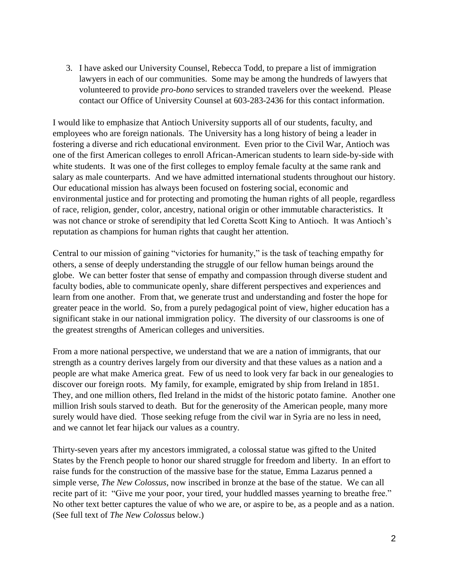3. I have asked our University Counsel, Rebecca Todd, to prepare a list of immigration lawyers in each of our communities. Some may be among the hundreds of lawyers that volunteered to provide *pro-bono* services to stranded travelers over the weekend. Please contact our Office of University Counsel at 603-283-2436 for this contact information.

I would like to emphasize that Antioch University supports all of our students, faculty, and employees who are foreign nationals. The University has a long history of being a leader in fostering a diverse and rich educational environment. Even prior to the Civil War, Antioch was one of the first American colleges to enroll African-American students to learn side-by-side with white students. It was one of the first colleges to employ female faculty at the same rank and salary as male counterparts. And we have admitted international students throughout our history. Our educational mission has always been focused on fostering social, economic and environmental justice and for protecting and promoting the human rights of all people, regardless of race, religion, gender, color, ancestry, national origin or other immutable characteristics. It was not chance or stroke of serendipity that led Coretta Scott King to Antioch. It was Antioch's reputation as champions for human rights that caught her attention.

Central to our mission of gaining "victories for humanity," is the task of teaching empathy for others, a sense of deeply understanding the struggle of our fellow human beings around the globe. We can better foster that sense of empathy and compassion through diverse student and faculty bodies, able to communicate openly, share different perspectives and experiences and learn from one another. From that, we generate trust and understanding and foster the hope for greater peace in the world. So, from a purely pedagogical point of view, higher education has a significant stake in our national immigration policy. The diversity of our classrooms is one of the greatest strengths of American colleges and universities.

From a more national perspective, we understand that we are a nation of immigrants, that our strength as a country derives largely from our diversity and that these values as a nation and a people are what make America great. Few of us need to look very far back in our genealogies to discover our foreign roots. My family, for example, emigrated by ship from Ireland in 1851. They, and one million others, fled Ireland in the midst of the historic potato famine. Another one million Irish souls starved to death. But for the generosity of the American people, many more surely would have died. Those seeking refuge from the civil war in Syria are no less in need, and we cannot let fear hijack our values as a country.

Thirty-seven years after my ancestors immigrated, a colossal statue was gifted to the United States by the French people to honor our shared struggle for freedom and liberty. In an effort to raise funds for the construction of the massive base for the statue, Emma Lazarus penned a simple verse, *The New Colossus*, now inscribed in bronze at the base of the statue. We can all recite part of it: "Give me your poor, your tired, your huddled masses yearning to breathe free." No other text better captures the value of who we are, or aspire to be, as a people and as a nation. (See full text of *The New Colossus* below.)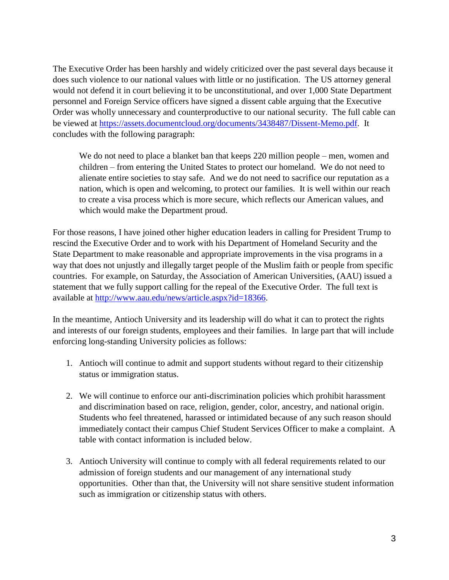The Executive Order has been harshly and widely criticized over the past several days because it does such violence to our national values with little or no justification. The US attorney general would not defend it in court believing it to be unconstitutional, and over 1,000 State Department personnel and Foreign Service officers have signed a dissent cable arguing that the Executive Order was wholly unnecessary and counterproductive to our national security. The full cable can be viewed at [https://assets.documentcloud.org/documents/3438487/Dissent-Memo.pdf.](https://assets.documentcloud.org/documents/3438487/Dissent-Memo.pdf) It concludes with the following paragraph:

We do not need to place a blanket ban that keeps 220 million people – men, women and children – from entering the United States to protect our homeland. We do not need to alienate entire societies to stay safe. And we do not need to sacrifice our reputation as a nation, which is open and welcoming, to protect our families. It is well within our reach to create a visa process which is more secure, which reflects our American values, and which would make the Department proud.

For those reasons, I have joined other higher education leaders in calling for President Trump to rescind the Executive Order and to work with his Department of Homeland Security and the State Department to make reasonable and appropriate improvements in the visa programs in a way that does not unjustly and illegally target people of the Muslim faith or people from specific countries. For example, on Saturday, the Association of American Universities, (AAU) issued a statement that we fully support calling for the repeal of the Executive Order. The full text is available at [http://www.aau.edu/news/article.aspx?id=18366.](http://www.aau.edu/news/article.aspx?id=18366)

In the meantime, Antioch University and its leadership will do what it can to protect the rights and interests of our foreign students, employees and their families. In large part that will include enforcing long-standing University policies as follows:

- 1. Antioch will continue to admit and support students without regard to their citizenship status or immigration status.
- 2. We will continue to enforce our anti-discrimination policies which prohibit harassment and discrimination based on race, religion, gender, color, ancestry, and national origin. Students who feel threatened, harassed or intimidated because of any such reason should immediately contact their campus Chief Student Services Officer to make a complaint. A table with contact information is included below.
- 3. Antioch University will continue to comply with all federal requirements related to our admission of foreign students and our management of any international study opportunities. Other than that, the University will not share sensitive student information such as immigration or citizenship status with others.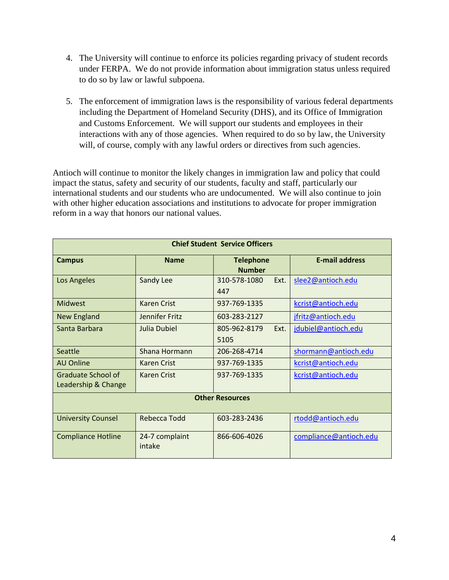- 4. The University will continue to enforce its policies regarding privacy of student records under FERPA. We do not provide information about immigration status unless required to do so by law or lawful subpoena.
- 5. The enforcement of immigration laws is the responsibility of various federal departments including the Department of Homeland Security (DHS), and its Office of Immigration and Customs Enforcement. We will support our students and employees in their interactions with any of those agencies. When required to do so by law, the University will, of course, comply with any lawful orders or directives from such agencies.

Antioch will continue to monitor the likely changes in immigration law and policy that could impact the status, safety and security of our students, faculty and staff, particularly our international students and our students who are undocumented. We will also continue to join with other higher education associations and institutions to advocate for proper immigration reform in a way that honors our national values.

| <b>Chief Student Service Officers</b>     |                          |                                   |                        |
|-------------------------------------------|--------------------------|-----------------------------------|------------------------|
| <b>Campus</b>                             | <b>Name</b>              | <b>Telephone</b><br><b>Number</b> | <b>E-mail address</b>  |
| Los Angeles                               | Sandy Lee                | 310-578-1080<br>Ext.<br>447       | slee2@antioch.edu      |
| <b>Midwest</b>                            | Karen Crist              | 937-769-1335                      | kcrist@antioch.edu     |
| <b>New England</b>                        | Jennifer Fritz           | 603-283-2127                      | jfritz@antioch.edu     |
| Santa Barbara                             | Julia Dubiel             | 805-962-8179<br>Ext.<br>5105      | jdubiel@antioch.edu    |
| Seattle                                   | Shana Hormann            | 206-268-4714                      | shormann@antioch.edu   |
| <b>AU Online</b>                          | Karen Crist              | 937-769-1335                      | kcrist@antioch.edu     |
| Graduate School of<br>Leadership & Change | Karen Crist              | 937-769-1335                      | kcrist@antioch.edu     |
| <b>Other Resources</b>                    |                          |                                   |                        |
| <b>University Counsel</b>                 | Rebecca Todd             | 603-283-2436                      | rtodd@antioch.edu      |
| <b>Compliance Hotline</b>                 | 24-7 complaint<br>intake | 866-606-4026                      | compliance@antioch.edu |